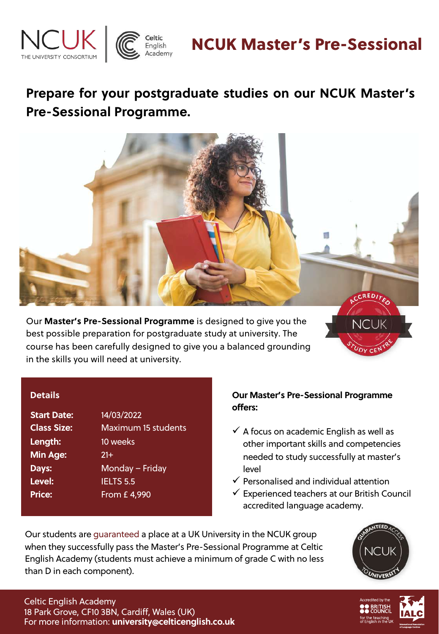



# NCUK Master's Pre-Sessional

## **Prepare for your postgraduate studies on our NCUK Master 's Pre-Sessional Programme.**



Our **Master's Pre-Sessional Programme** is designed to give you the best possible preparation for postgraduate study at university. The course has been carefully designed to give you a balanced grounding in the skills you will need at university.

#### **Details**

| <b>Start Date:</b> | 14/03/2022                 |
|--------------------|----------------------------|
| <b>Class Size:</b> | <b>Maximum 15 students</b> |
| Length:            | 10 weeks                   |
| Min Age:           | $21+$                      |
| Days:              | Monday - Friday            |
| Level:             | <b>IELTS 5.5</b>           |
| <b>Price:</b>      | From £4,990                |
|                    |                            |

### **Our Master's Pre-Sessional Programme offers:**

- $\checkmark$  A focus on academic English as well as other important skills and competencies needed to study successfully at master's level
- $\checkmark$  Personalised and individual attention
- $\checkmark$  Experienced teachers at our British Council accredited language academy.

Our students are guaranteed a place at a UK University in the NCUK group when they successfully pass the Master's Pre-Sessional Programme at Celtic English Academy (students must achieve a minimum of grade C with no less than D in each component).



ncu